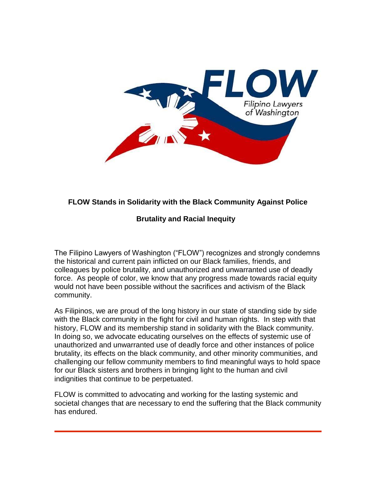

## **FLOW Stands in Solidarity with the Black Community Against Police**

## **Brutality and Racial Inequity**

The Filipino Lawyers of Washington ("FLOW") recognizes and strongly condemns the historical and current pain inflicted on our Black families, friends, and colleagues by police brutality, and unauthorized and unwarranted use of deadly force. As people of color, we know that any progress made towards racial equity would not have been possible without the sacrifices and activism of the Black community.

As Filipinos, we are proud of the long history in our state of standing side by side with the Black community in the fight for civil and human rights. In step with that history, FLOW and its membership stand in solidarity with the Black community. In doing so, we advocate educating ourselves on the effects of systemic use of unauthorized and unwarranted use of deadly force and other instances of police brutality, its effects on the black community, and other minority communities, and challenging our fellow community members to find meaningful ways to hold space for our Black sisters and brothers in bringing light to the human and civil indignities that continue to be perpetuated.

FLOW is committed to advocating and working for the lasting systemic and societal changes that are necessary to end the suffering that the Black community has endured.